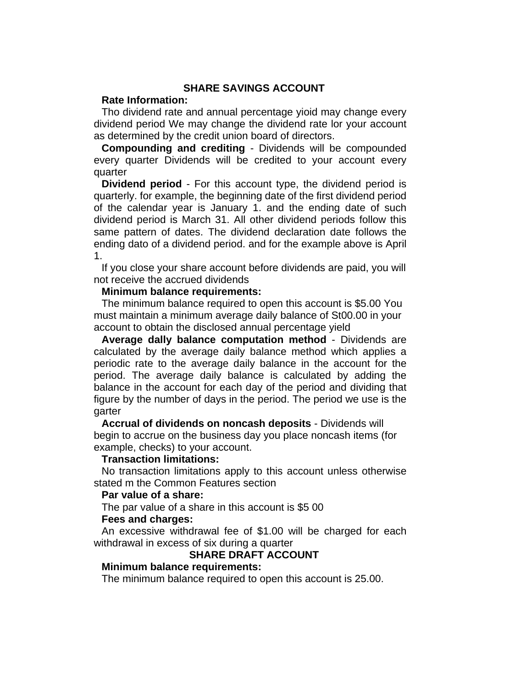# **SHARE SAVINGS ACCOUNT**

#### **Rate Information:**

Tho dividend rate and annual percentage yioid may change every dividend period We may change the dividend rate lor your account as determined by the credit union board of directors.

**Compounding and crediting** - Dividends will be compounded every quarter Dividends will be credited to your account every quarter

**Dividend period** - For this account type, the dividend period is quarterly. for example, the beginning date of the first dividend period of the calendar year is January 1. and the ending date of such dividend period is March 31. All other dividend periods follow this same pattern of dates. The dividend declaration date follows the ending dato of a dividend period. and for the example above is April 1.

If you close your share account before dividends are paid, you will not receive the accrued dividends

#### **Minimum balance requirements:**

The minimum balance required to open this account is \$5.00 You must maintain a minimum average daily balance of St00.00 in your account to obtain the disclosed annual percentage yield

**Average dally balance computation method** - Dividends are calculated by the average daily balance method which applies a periodic rate to the average daily balance in the account for the period. The average daily balance is calculated by adding the balance in the account for each day of the period and dividing that figure by the number of days in the period. The period we use is the garter

**Accrual of dividends on noncash deposits** - Dividends will begin to accrue on the business day you place noncash items (for example, checks) to your account.

#### **Transaction limitations:**

No transaction limitations apply to this account unless otherwise stated m the Common Features section

#### **Par value of a share:**

The par value of a share in this account is \$5 00

### **Fees and charges:**

An excessive withdrawal fee of \$1.00 will be charged for each withdrawal in excess of six during a quarter

### **SHARE DRAFT ACCOUNT**

### **Minimum balance requirements:**

The minimum balance required to open this account is 25.00.